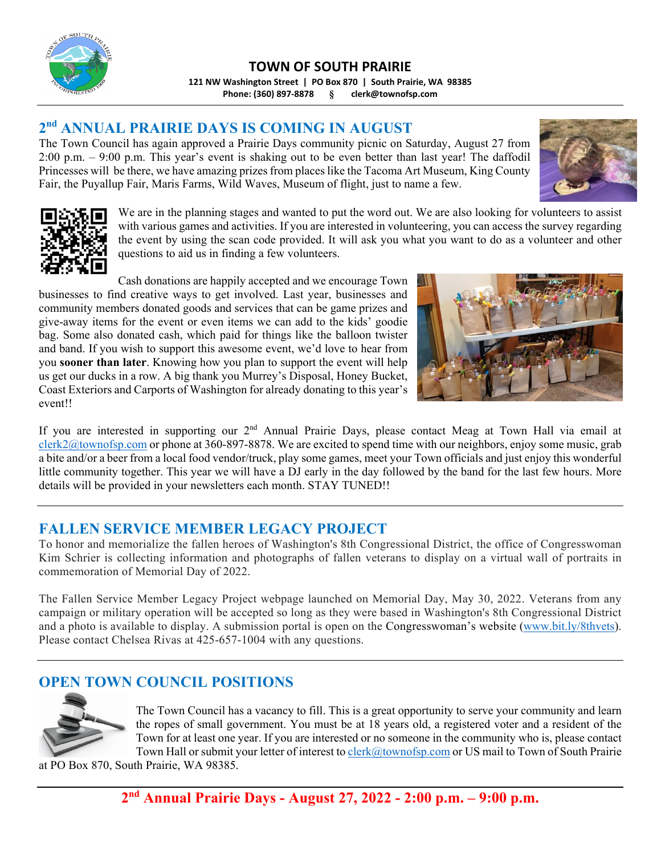

**TOWN OF SOUTH PRAIRIE 121 NW Washington Street | PO Box 870 | South Prairie, WA 98385**

**Phone: (360) 897‐8878 § clerk@townofsp.com**

# **2nd ANNUAL PRAIRIE DAYS IS COMING IN AUGUST**

The Town Council has again approved a Prairie Days community picnic on Saturday, August 27 from 2:00 p.m. – 9:00 p.m. This year's event is shaking out to be even better than last year! The daffodil Princesses will be there, we have amazing prizes from places like the Tacoma Art Museum, King County Fair, the Puyallup Fair, Maris Farms, Wild Waves, Museum of flight, just to name a few.





We are in the planning stages and wanted to put the word out. We are also looking for volunteers to assist with various games and activities. If you are interested in volunteering, you can access the survey regarding the event by using the scan code provided. It will ask you what you want to do as a volunteer and other questions to aid us in finding a few volunteers.

Cash donations are happily accepted and we encourage Town businesses to find creative ways to get involved. Last year, businesses and community members donated goods and services that can be game prizes and give-away items for the event or even items we can add to the kids' goodie bag. Some also donated cash, which paid for things like the balloon twister and band. If you wish to support this awesome event, we'd love to hear from you **sooner than later**. Knowing how you plan to support the event will help us get our ducks in a row. A big thank you Murrey's Disposal, Honey Bucket, Coast Exteriors and Carports of Washington for already donating to this year's event!!



If you are interested in supporting our 2<sup>nd</sup> Annual Prairie Days, please contact Meag at Town Hall via email at clerk2@townofsp.com or phone at 360-897-8878. We are excited to spend time with our neighbors, enjoy some music, grab a bite and/or a beer from a local food vendor/truck, play some games, meet your Town officials and just enjoy this wonderful little community together. This year we will have a DJ early in the day followed by the band for the last few hours. More details will be provided in your newsletters each month. STAY TUNED!!

# **FALLEN SERVICE MEMBER LEGACY PROJECT**

To honor and memorialize the fallen heroes of Washington's 8th Congressional District, the office of Congresswoman Kim Schrier is collecting information and photographs of fallen veterans to display on a virtual wall of portraits in commemoration of Memorial Day of 2022.

The Fallen Service Member Legacy Project webpage launched on Memorial Day, May 30, 2022. Veterans from any campaign or military operation will be accepted so long as they were based in Washington's 8th Congressional District and a photo is available to display. A submission portal is open on the Congresswoman's website (www.bit.ly/8thvets). Please contact Chelsea Rivas at 425-657-1004 with any questions.

# **OPEN TOWN COUNCIL POSITIONS**



The Town Council has a vacancy to fill. This is a great opportunity to serve your community and learn the ropes of small government. You must be at 18 years old, a registered voter and a resident of the Town for at least one year. If you are interested or no someone in the community who is, please contact Town Hall or submit your letter of interest to clerk@townofsp.com or US mail to Town of South Prairie

at PO Box 870, South Prairie, WA 98385.